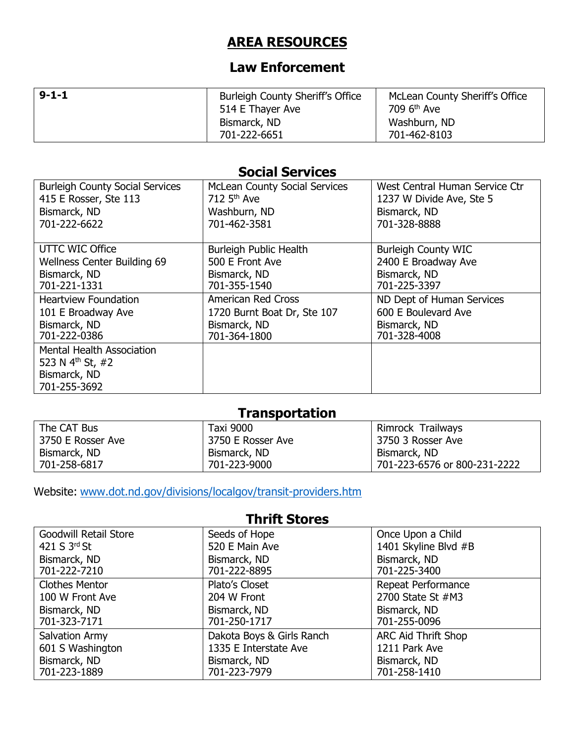# **AREA RESOURCES**

# **Law Enforcement**

| $9 - 1 - 1$ | <b>Burleigh County Sheriff's Office</b><br>514 E Thayer Ave | McLean County Sheriff's Office<br>709 6 <sup>th</sup> Ave |
|-------------|-------------------------------------------------------------|-----------------------------------------------------------|
|             | Bismarck, ND<br>701-222-6651                                | Washburn, ND<br>701-462-8103                              |

### **Social Services**

| <b>Burleigh County Social Services</b> | <b>McLean County Social Services</b> | West Central Human Service Ctr |
|----------------------------------------|--------------------------------------|--------------------------------|
| 415 E Rosser, Ste 113                  | 712 $5th$ Ave                        | 1237 W Divide Ave, Ste 5       |
| Bismarck, ND                           | Washburn, ND                         | Bismarck, ND                   |
| 701-222-6622                           | 701-462-3581                         | 701-328-8888                   |
|                                        |                                      |                                |
| UTTC WIC Office                        | Burleigh Public Health               | <b>Burleigh County WIC</b>     |
| <b>Wellness Center Building 69</b>     | 500 E Front Ave                      | 2400 E Broadway Ave            |
| Bismarck, ND                           | Bismarck, ND                         | Bismarck, ND                   |
| 701-221-1331                           | 701-355-1540                         | 701-225-3397                   |
| <b>Heartview Foundation</b>            | <b>American Red Cross</b>            | ND Dept of Human Services      |
| 101 E Broadway Ave                     | 1720 Burnt Boat Dr, Ste 107          | 600 E Boulevard Ave            |
| Bismarck, ND                           | Bismarck, ND                         | Bismarck, ND                   |
| 701-222-0386                           | 701-364-1800                         | 701-328-4008                   |
| <b>Mental Health Association</b>       |                                      |                                |
| 523 N $4^{th}$ St, #2                  |                                      |                                |
| Bismarck, ND                           |                                      |                                |
| 701-255-3692                           |                                      |                                |

# **Transportation**

| The CAT Bus       | Taxi 9000         | Rimrock Trailways            |
|-------------------|-------------------|------------------------------|
| 3750 E Rosser Ave | 3750 E Rosser Ave | 3750 3 Rosser Ave            |
| Bismarck, ND      | Bismarck, ND      | Bismarck, ND                 |
| 701-258-6817      | 701-223-9000      | 701-223-6576 or 800-231-2222 |

Website: [www.dot.nd.gov/divisions/localgov/transit-providers.htm](http://www.dot.nd.gov/divisions/localgov/transit-providers.htm)

### **Thrift Stores**

| <b>Goodwill Retail Store</b> | Seeds of Hope             | Once Upon a Child          |
|------------------------------|---------------------------|----------------------------|
| 421 S 3rd St                 | 520 E Main Ave            | 1401 Skyline Blvd #B       |
| Bismarck, ND                 | Bismarck, ND              | Bismarck, ND               |
| 701-222-7210                 | 701-222-8895              | 701-225-3400               |
| <b>Clothes Mentor</b>        | Plato's Closet            | Repeat Performance         |
| 100 W Front Ave              | 204 W Front               | 2700 State St #M3          |
| Bismarck, ND                 | Bismarck, ND              | Bismarck, ND               |
| 701-323-7171                 | 701-250-1717              | 701-255-0096               |
| Salvation Army               | Dakota Boys & Girls Ranch | <b>ARC Aid Thrift Shop</b> |
| 601 S Washington             | 1335 E Interstate Ave     | 1211 Park Ave              |
| Bismarck, ND                 | Bismarck, ND              | Bismarck, ND               |
| 701-223-1889                 | 701-223-7979              | 701-258-1410               |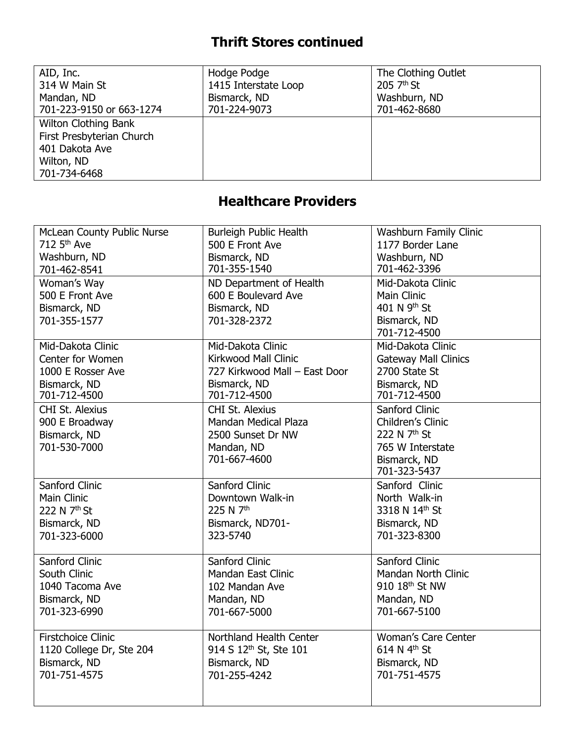# **Thrift Stores continued**

| AID, Inc.                                                                                                | Hodge Podge          | The Clothing Outlet |
|----------------------------------------------------------------------------------------------------------|----------------------|---------------------|
| 314 W Main St                                                                                            | 1415 Interstate Loop | $2057th$ St         |
| Mandan, ND                                                                                               | Bismarck, ND         | Washburn, ND        |
| 701-223-9150 or 663-1274                                                                                 | 701-224-9073         | 701-462-8680        |
| <b>Wilton Clothing Bank</b><br>First Presbyterian Church<br>401 Dakota Ave<br>Wilton, ND<br>701-734-6468 |                      |                     |

# **Healthcare Providers**

| McLean County Public Nurse | <b>Burleigh Public Health</b>      | Washburn Family Clinic      |
|----------------------------|------------------------------------|-----------------------------|
| 712 5th Ave                | 500 E Front Ave                    | 1177 Border Lane            |
| Washburn, ND               | Bismarck, ND                       | Washburn, ND                |
| 701-462-8541               | 701-355-1540                       | 701-462-3396                |
| Woman's Way                | ND Department of Health            | Mid-Dakota Clinic           |
| 500 E Front Ave            | 600 E Boulevard Ave                | Main Clinic                 |
| Bismarck, ND               | Bismarck, ND                       | 401 N 9 <sup>th</sup> St    |
| 701-355-1577               | 701-328-2372                       | Bismarck, ND                |
|                            |                                    | 701-712-4500                |
| Mid-Dakota Clinic          | Mid-Dakota Clinic                  | Mid-Dakota Clinic           |
| Center for Women           | Kirkwood Mall Clinic               | <b>Gateway Mall Clinics</b> |
| 1000 E Rosser Ave          | 727 Kirkwood Mall - East Door      | 2700 State St               |
| Bismarck, ND               | Bismarck, ND                       | Bismarck, ND                |
| 701-712-4500               | 701-712-4500                       | 701-712-4500                |
| <b>CHI St. Alexius</b>     | <b>CHI St. Alexius</b>             | Sanford Clinic              |
| 900 E Broadway             | Mandan Medical Plaza               | Children's Clinic           |
| Bismarck, ND               | 2500 Sunset Dr NW                  | 222 N 7 <sup>th</sup> St    |
| 701-530-7000               | Mandan, ND                         | 765 W Interstate            |
|                            | 701-667-4600                       | Bismarck, ND                |
|                            |                                    | 701-323-5437                |
| Sanford Clinic             | Sanford Clinic                     | Sanford Clinic              |
| <b>Main Clinic</b>         | Downtown Walk-in                   | North Walk-in               |
| 222 N 7 <sup>th</sup> St   | 225 N 7 <sup>th</sup>              | 3318 N 14th St              |
| Bismarck, ND               | Bismarck, ND701-                   | Bismarck, ND                |
| 701-323-6000               | 323-5740                           | 701-323-8300                |
|                            |                                    |                             |
| Sanford Clinic             | Sanford Clinic                     | Sanford Clinic              |
| South Clinic               | <b>Mandan East Clinic</b>          | Mandan North Clinic         |
| 1040 Tacoma Ave            | 102 Mandan Ave                     | 910 18 <sup>th</sup> St NW  |
| Bismarck, ND               | Mandan, ND                         | Mandan, ND                  |
| 701-323-6990               | 701-667-5000                       | 701-667-5100                |
|                            |                                    |                             |
| <b>Firstchoice Clinic</b>  | Northland Health Center            | Woman's Care Center         |
| 1120 College Dr, Ste 204   | 914 S 12 <sup>th</sup> St, Ste 101 | 614 N 4 <sup>th</sup> St    |
| Bismarck, ND               | Bismarck, ND                       | Bismarck, ND                |
| 701-751-4575               | 701-255-4242                       | 701-751-4575                |
|                            |                                    |                             |
|                            |                                    |                             |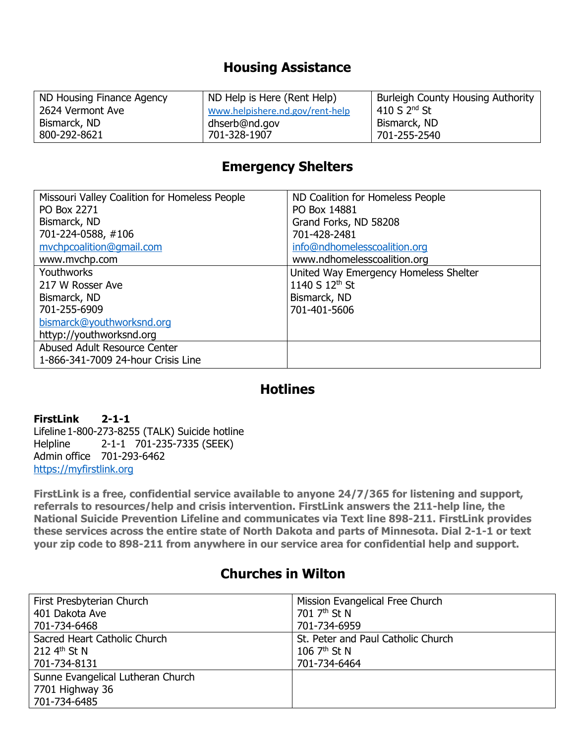### **Housing Assistance**

| ND Housing Finance Agency | ND Help is Here (Rent Help)     | <b>Burleigh County Housing Authority</b> |
|---------------------------|---------------------------------|------------------------------------------|
| 2624 Vermont Ave          | Www.helpishere.nd.gov/rent-help | 410 S $2nd$ St                           |
| Bismarck, ND              | dhserb@nd.gov                   | Bismarck, ND                             |
| 800-292-8621              | 701-328-1907                    | 701-255-2540                             |

# **Emergency Shelters**

| Missouri Valley Coalition for Homeless People | ND Coalition for Homeless People      |
|-----------------------------------------------|---------------------------------------|
| PO Box 2271                                   | PO Box 14881                          |
| Bismarck, ND                                  | Grand Forks, ND 58208                 |
| 701-224-0588, #106                            | 701-428-2481                          |
| mvchpcoalition@gmail.com                      | info@ndhomelesscoalition.org          |
| www.mvchp.com                                 | www.ndhomelesscoalition.org           |
| <b>Youthworks</b>                             | United Way Emergency Homeless Shelter |
| 217 W Rosser Ave                              | 1140 S 12 <sup>th</sup> St            |
| Bismarck, ND                                  | Bismarck, ND                          |
| 701-255-6909                                  | 701-401-5606                          |
| bismarck@youthworksnd.org                     |                                       |
| httyp://youthworksnd.org                      |                                       |
| Abused Adult Resource Center                  |                                       |
| 1-866-341-7009 24-hour Crisis Line            |                                       |

## **Hotlines**

**FirstLink 2-1-1** Lifeline 1-800-273-8255 (TALK) Suicide hotline Helpline 2-1-1 701-235-7335 (SEEK) Admin office 701-293-6462 [https://myfirstlink.org](https://myfirstlink.org/)

**FirstLink is a free, confidential service available to anyone 24/7/365 for listening and support, referrals to resources/help and crisis intervention. FirstLink answers the 211-help line, the National Suicide Prevention Lifeline and communicates via Text line 898-211. FirstLink provides these services across the entire state of North Dakota and parts of Minnesota. Dial 2-1-1 or text your zip code to 898-211 from anywhere in our service area for confidential help and support.**

## **Churches in Wilton**

| First Presbyterian Church         | Mission Evangelical Free Church    |
|-----------------------------------|------------------------------------|
| 401 Dakota Ave                    | 701 7 <sup>th</sup> St N           |
| 701-734-6468                      | 701-734-6959                       |
| Sacred Heart Catholic Church      | St. Peter and Paul Catholic Church |
| 212 $4^{th}$ St N                 | 106 $7th$ St N                     |
| 701-734-8131                      | 701-734-6464                       |
| Sunne Evangelical Lutheran Church |                                    |
| 7701 Highway 36                   |                                    |
| 701-734-6485                      |                                    |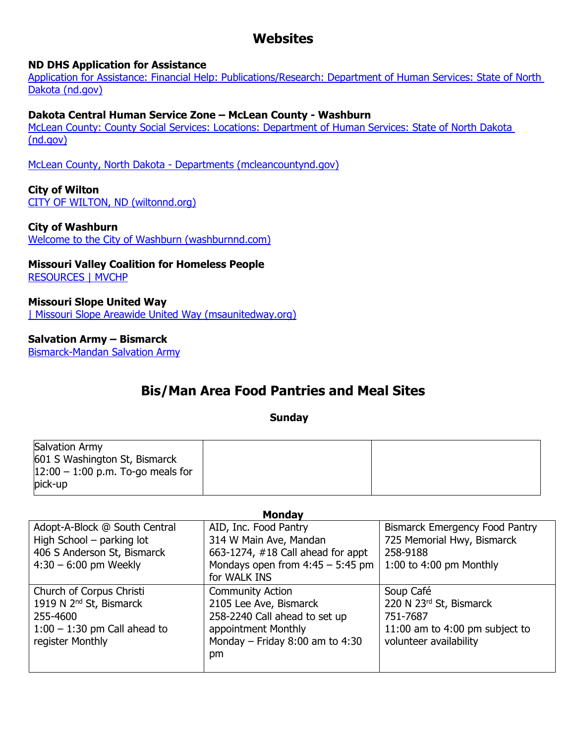# **Websites**

#### **ND DHS Application for Assistance**

[Application for Assistance: Financial Help: Publications/Research: Department of Human Services: State of North](https://www.nd.gov/dhs/info/pubs/application.html)  [Dakota \(nd.gov\)](https://www.nd.gov/dhs/info/pubs/application.html)

#### **Dakota Central Human Service Zone – McLean County - Washburn**

[McLean County: County Social Services: Locations: Department of Human Services: State of North Dakota](https://www.nd.gov/dhs/locations/countysocialserv/28.html)  [\(nd.gov\)](https://www.nd.gov/dhs/locations/countysocialserv/28.html)

McLean County, North Dakota - [Departments \(mcleancountynd.gov\)](https://www.mcleancountynd.gov/departments/social-services/)

#### **City of Wilton**

[CITY OF WILTON, ND \(wiltonnd.org\)](https://www.wiltonnd.org/)

#### **City of Washburn**

[Welcome to the City of Washburn \(washburnnd.com\)](https://www.washburnnd.com/)

#### **Missouri Valley Coalition for Homeless People** [RESOURCES | MVCHP](https://www.mvchp.com/resources)

**Missouri Slope United Way** [| Missouri Slope Areawide United Way \(msaunitedway.org\)](https://www.msaunitedway.org/)

#### **Salvation Army – Bismarck**

[Bismarck-Mandan Salvation Army](https://centralusa.salvationarmy.org/northern/bismarck-mandan/)

## **Bis/Man Area Food Pantries and Meal Sites**

#### **Sunday**

| Salvation Army<br>601 S Washington St, Bismarck<br>$12:00 - 1:00$ p.m. To-go meals for |  |
|----------------------------------------------------------------------------------------|--|
| pick-up                                                                                |  |

| mongav                              |                                     |                                       |
|-------------------------------------|-------------------------------------|---------------------------------------|
| Adopt-A-Block @ South Central       | AID, Inc. Food Pantry               | <b>Bismarck Emergency Food Pantry</b> |
| High School - parking lot           | 314 W Main Ave, Mandan              | 725 Memorial Hwy, Bismarck            |
| 406 S Anderson St, Bismarck         | 663-1274, #18 Call ahead for appt   | 258-9188                              |
| $4:30 - 6:00$ pm Weekly             | Mondays open from $4:45 - 5:45$ pm  | 1:00 to 4:00 pm Monthly               |
|                                     | for WALK INS                        |                                       |
| Church of Corpus Christi            | <b>Community Action</b>             | Soup Café                             |
| 1919 N 2 <sup>nd</sup> St, Bismarck | 2105 Lee Ave, Bismarck              | 220 N 23rd St, Bismarck               |
| 255-4600                            | 258-2240 Call ahead to set up       | 751-7687                              |
| $1:00 - 1:30$ pm Call ahead to      | appointment Monthly                 | 11:00 am to 4:00 pm subject to        |
| register Monthly                    | Monday – Friday $8:00$ am to $4:30$ | volunteer availability                |
|                                     | pm                                  |                                       |
|                                     |                                     |                                       |

#### **Monday**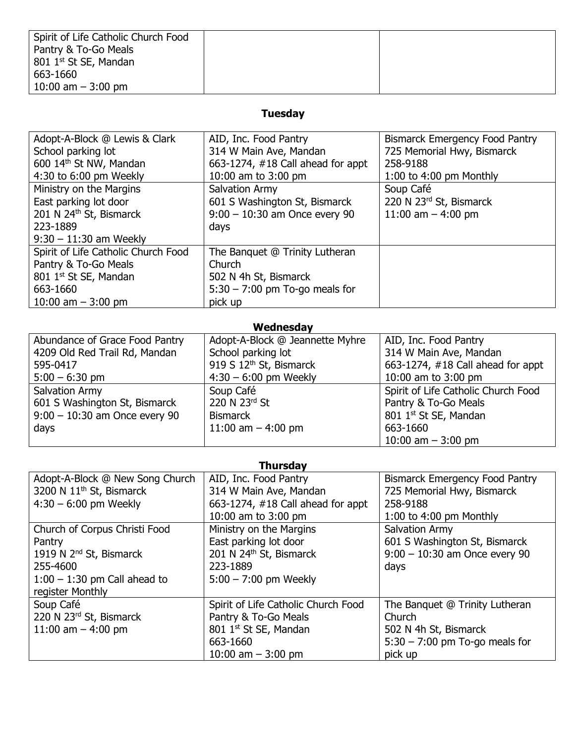| Spirit of Life Catholic Church Food |  |
|-------------------------------------|--|
| Pantry & To-Go Meals                |  |
| 801 1 <sup>st</sup> St SE, Mandan   |  |
| 663-1660                            |  |
| 10:00 am $-$ 3:00 pm                |  |

### **Tuesday**

| Adopt-A-Block @ Lewis & Clark       | AID, Inc. Food Pantry                | <b>Bismarck Emergency Food Pantry</b> |
|-------------------------------------|--------------------------------------|---------------------------------------|
| School parking lot                  | 314 W Main Ave, Mandan               | 725 Memorial Hwy, Bismarck            |
| 600 14th St NW, Mandan              | 663-1274, $\#18$ Call ahead for appt | 258-9188                              |
| 4:30 to 6:00 pm Weekly              | 10:00 am to 3:00 pm                  | 1:00 to 4:00 pm Monthly               |
| Ministry on the Margins             | Salvation Army                       | Soup Café                             |
| East parking lot door               | 601 S Washington St, Bismarck        | 220 N 23rd St, Bismarck               |
| 201 N 24th St, Bismarck             | $9:00 - 10:30$ am Once every 90      | 11:00 am $-$ 4:00 pm                  |
| 223-1889                            | days                                 |                                       |
| $9:30 - 11:30$ am Weekly            |                                      |                                       |
| Spirit of Life Catholic Church Food | The Banquet @ Trinity Lutheran       |                                       |
| Pantry & To-Go Meals                | Church                               |                                       |
| 801 1 <sup>st</sup> St SE, Mandan   | 502 N 4h St, Bismarck                |                                       |
| 663-1660                            | $5:30 - 7:00$ pm To-go meals for     |                                       |
| 10:00 am $-$ 3:00 pm                | pick up                              |                                       |

### **Wednesday**

| Abundance of Grace Food Pantry  | Adopt-A-Block @ Jeannette Myhre     | AID, Inc. Food Pantry               |
|---------------------------------|-------------------------------------|-------------------------------------|
| 4209 Old Red Trail Rd, Mandan   | School parking lot                  | 314 W Main Ave, Mandan              |
| 595-0417                        | 919 S 12 <sup>th</sup> St, Bismarck | 663-1274, #18 Call ahead for appt   |
| $5:00 - 6:30$ pm                | $4:30 - 6:00$ pm Weekly             | 10:00 am to 3:00 pm                 |
| Salvation Army                  | Soup Café                           | Spirit of Life Catholic Church Food |
| 601 S Washington St, Bismarck   | 220 N 23rd St                       | Pantry & To-Go Meals                |
| $9:00 - 10:30$ am Once every 90 | <b>Bismarck</b>                     | 801 1st St SE, Mandan               |
| days                            | 11:00 am $-$ 4:00 pm                | 663-1660                            |
|                                 |                                     | 10:00 am $-$ 3:00 pm                |

| <b>Thursday</b>                      |                                     |                                  |  |
|--------------------------------------|-------------------------------------|----------------------------------|--|
| Adopt-A-Block @ New Song Church      | AID, Inc. Food Pantry               | Bismarck Emergency Food Pantry   |  |
| 3200 N 11 <sup>th</sup> St, Bismarck | 314 W Main Ave, Mandan              | 725 Memorial Hwy, Bismarck       |  |
| $4:30 - 6:00$ pm Weekly              | 663-1274, #18 Call ahead for appt   | 258-9188                         |  |
|                                      | 10:00 am to 3:00 pm                 | 1:00 to 4:00 pm Monthly          |  |
| Church of Corpus Christi Food        | Ministry on the Margins             | Salvation Army                   |  |
| Pantry                               | East parking lot door               | 601 S Washington St, Bismarck    |  |
| 1919 N 2 <sup>nd</sup> St, Bismarck  | 201 N 24th St, Bismarck             | $9:00 - 10:30$ am Once every 90  |  |
| 255-4600                             | 223-1889                            | days                             |  |
| $1:00 - 1:30$ pm Call ahead to       | $5:00 - 7:00$ pm Weekly             |                                  |  |
| register Monthly                     |                                     |                                  |  |
| Soup Café                            | Spirit of Life Catholic Church Food | The Banquet @ Trinity Lutheran   |  |
| 220 N 23rd St, Bismarck              | Pantry & To-Go Meals                | Church                           |  |
| 11:00 am $-$ 4:00 pm                 | 801 1st St SE, Mandan               | 502 N 4h St, Bismarck            |  |
|                                      | 663-1660                            | $5:30 - 7:00$ pm To-go meals for |  |
|                                      | 10:00 am $-$ 3:00 pm                | pick up                          |  |